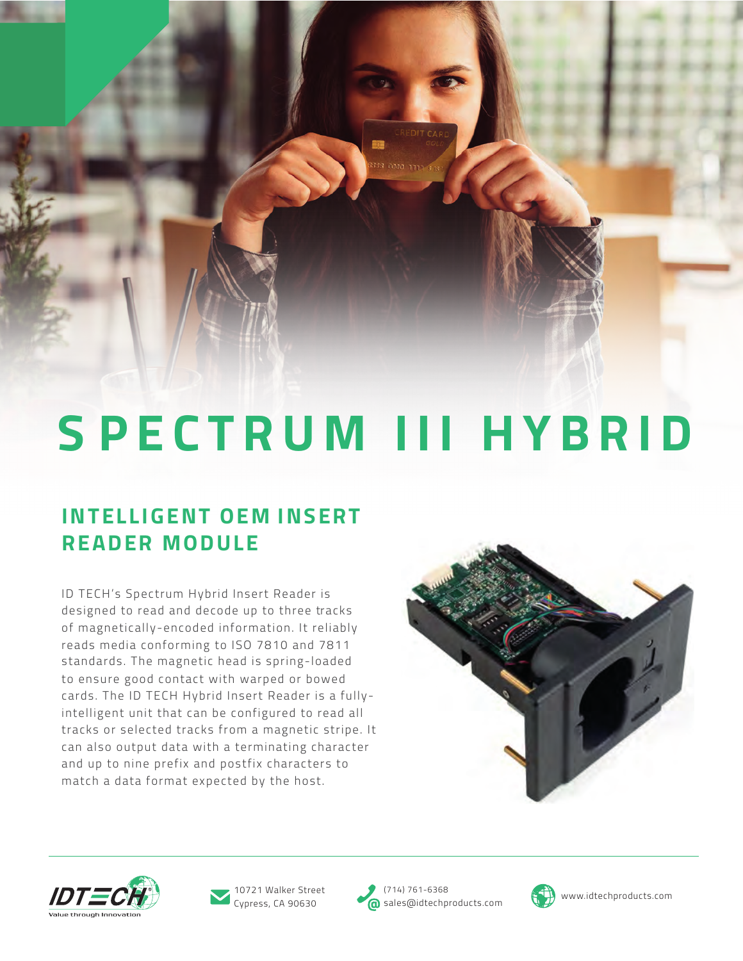# **S PECTRUM III HYBRID**

## **INTELLIGENT OEM INSERT READER MODULE**

ID TECH's Spectrum Hybrid Insert Reader is designed to read and decode up to three tracks of magnetically-encoded information. It reliably reads media conforming to ISO 7810 and 7811 standards. The magnetic head is spring-loaded to ensure good contact with warped or bowed cards. The ID TECH Hybrid Insert Reader is a fullyintelligent unit that can be configured to read all tracks or selected tracks from a magnetic stripe. It can also output data with a terminating character and up to nine prefix and postfix characters to match a data format expected by the host.